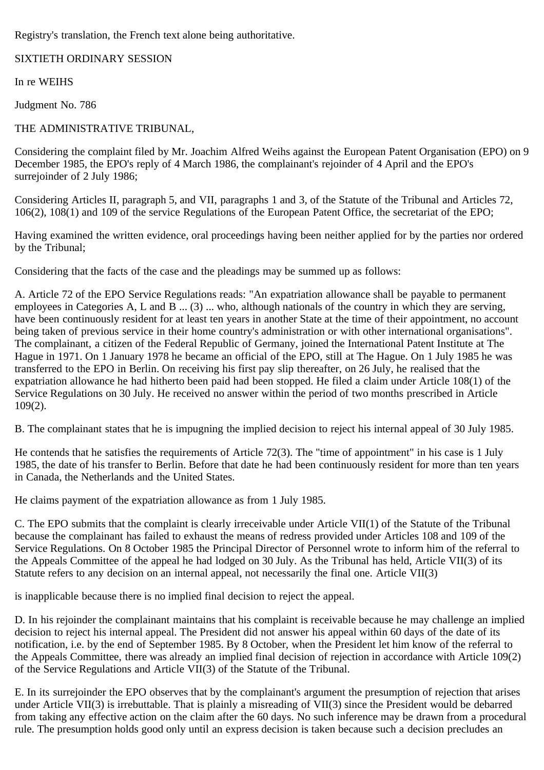Registry's translation, the French text alone being authoritative.

SIXTIETH ORDINARY SESSION

In re WEIHS

Judgment No. 786

## THE ADMINISTRATIVE TRIBUNAL,

Considering the complaint filed by Mr. Joachim Alfred Weihs against the European Patent Organisation (EPO) on 9 December 1985, the EPO's reply of 4 March 1986, the complainant's rejoinder of 4 April and the EPO's surrejoinder of 2 July 1986;

Considering Articles II, paragraph 5, and VII, paragraphs 1 and 3, of the Statute of the Tribunal and Articles 72, 106(2), 108(1) and 109 of the service Regulations of the European Patent Office, the secretariat of the EPO;

Having examined the written evidence, oral proceedings having been neither applied for by the parties nor ordered by the Tribunal;

Considering that the facts of the case and the pleadings may be summed up as follows:

A. Article 72 of the EPO Service Regulations reads: "An expatriation allowance shall be payable to permanent employees in Categories A, L and B ... (3) ... who, although nationals of the country in which they are serving, have been continuously resident for at least ten years in another State at the time of their appointment, no account being taken of previous service in their home country's administration or with other international organisations". The complainant, a citizen of the Federal Republic of Germany, joined the International Patent Institute at The Hague in 1971. On 1 January 1978 he became an official of the EPO, still at The Hague. On 1 July 1985 he was transferred to the EPO in Berlin. On receiving his first pay slip thereafter, on 26 July, he realised that the expatriation allowance he had hitherto been paid had been stopped. He filed a claim under Article 108(1) of the Service Regulations on 30 July. He received no answer within the period of two months prescribed in Article 109(2).

B. The complainant states that he is impugning the implied decision to reject his internal appeal of 30 July 1985.

He contends that he satisfies the requirements of Article 72(3). The "time of appointment" in his case is 1 July 1985, the date of his transfer to Berlin. Before that date he had been continuously resident for more than ten years in Canada, the Netherlands and the United States.

He claims payment of the expatriation allowance as from 1 July 1985.

C. The EPO submits that the complaint is clearly irreceivable under Article VII(1) of the Statute of the Tribunal because the complainant has failed to exhaust the means of redress provided under Articles 108 and 109 of the Service Regulations. On 8 October 1985 the Principal Director of Personnel wrote to inform him of the referral to the Appeals Committee of the appeal he had lodged on 30 July. As the Tribunal has held, Article VII(3) of its Statute refers to any decision on an internal appeal, not necessarily the final one. Article VII(3)

is inapplicable because there is no implied final decision to reject the appeal.

D. In his rejoinder the complainant maintains that his complaint is receivable because he may challenge an implied decision to reject his internal appeal. The President did not answer his appeal within 60 days of the date of its notification, i.e. by the end of September 1985. By 8 October, when the President let him know of the referral to the Appeals Committee, there was already an implied final decision of rejection in accordance with Article 109(2) of the Service Regulations and Article VII(3) of the Statute of the Tribunal.

E. In its surrejoinder the EPO observes that by the complainant's argument the presumption of rejection that arises under Article VII(3) is irrebuttable. That is plainly a misreading of VII(3) since the President would be debarred from taking any effective action on the claim after the 60 days. No such inference may be drawn from a procedural rule. The presumption holds good only until an express decision is taken because such a decision precludes an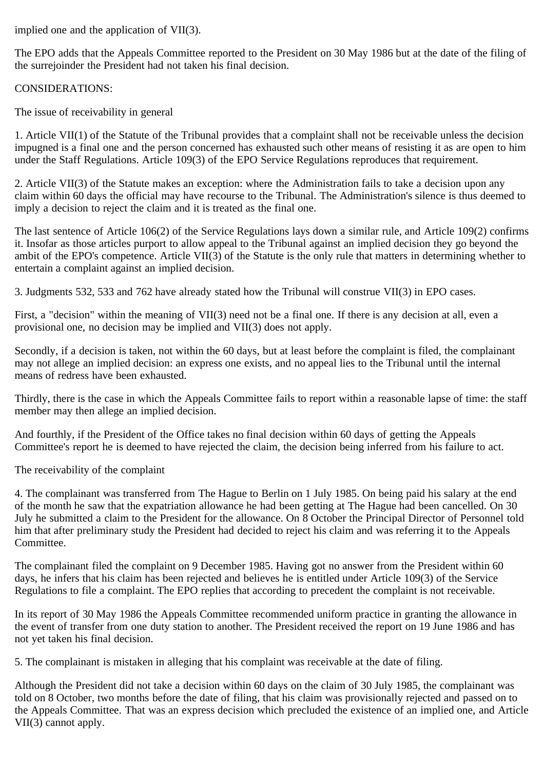implied one and the application of VII(3).

The EPO adds that the Appeals Committee reported to the President on 30 May 1986 but at the date of the filing of the surrejoinder the President had not taken his final decision.

## CONSIDERATIONS:

The issue of receivability in general

1. Article VII(1) of the Statute of the Tribunal provides that a complaint shall not be receivable unless the decision impugned is a final one and the person concerned has exhausted such other means of resisting it as are open to him under the Staff Regulations. Article 109(3) of the EPO Service Regulations reproduces that requirement.

2. Article VII(3) of the Statute makes an exception: where the Administration fails to take a decision upon any claim within 60 days the official may have recourse to the Tribunal. The Administration's silence is thus deemed to imply a decision to reject the claim and it is treated as the final one.

The last sentence of Article 106(2) of the Service Regulations lays down a similar rule, and Article 109(2) confirms it. Insofar as those articles purport to allow appeal to the Tribunal against an implied decision they go beyond the ambit of the EPO's competence. Article VII(3) of the Statute is the only rule that matters in determining whether to entertain a complaint against an implied decision.

3. Judgments 532, 533 and 762 have already stated how the Tribunal will construe VII(3) in EPO cases.

First, a "decision" within the meaning of VII(3) need not be a final one. If there is any decision at all, even a provisional one, no decision may be implied and VII(3) does not apply.

Secondly, if a decision is taken, not within the 60 days, but at least before the complaint is filed, the complainant may not allege an implied decision: an express one exists, and no appeal lies to the Tribunal until the internal means of redress have been exhausted.

Thirdly, there is the case in which the Appeals Committee fails to report within a reasonable lapse of time: the staff member may then allege an implied decision.

And fourthly, if the President of the Office takes no final decision within 60 days of getting the Appeals Committee's report he is deemed to have rejected the claim, the decision being inferred from his failure to act.

The receivability of the complaint

4. The complainant was transferred from The Hague to Berlin on 1 July 1985. On being paid his salary at the end of the month he saw that the expatriation allowance he had been getting at The Hague had been cancelled. On 30 July he submitted a claim to the President for the allowance. On 8 October the Principal Director of Personnel told him that after preliminary study the President had decided to reject his claim and was referring it to the Appeals Committee.

The complainant filed the complaint on 9 December 1985. Having got no answer from the President within 60 days, he infers that his claim has been rejected and believes he is entitled under Article 109(3) of the Service Regulations to file a complaint. The EPO replies that according to precedent the complaint is not receivable.

In its report of 30 May 1986 the Appeals Committee recommended uniform practice in granting the allowance in the event of transfer from one duty station to another. The President received the report on 19 June 1986 and has not yet taken his final decision.

5. The complainant is mistaken in alleging that his complaint was receivable at the date of filing.

Although the President did not take a decision within 60 days on the claim of 30 July 1985, the complainant was told on 8 October, two months before the date of filing, that his claim was provisionally rejected and passed on to the Appeals Committee. That was an express decision which precluded the existence of an implied one, and Article VII(3) cannot apply.